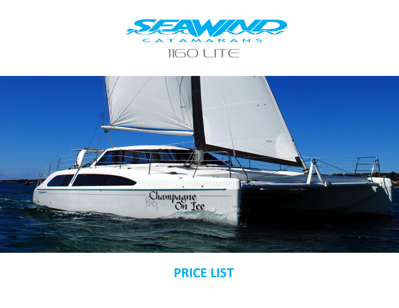

# **IIGO LITE**



# **PRICE LIST**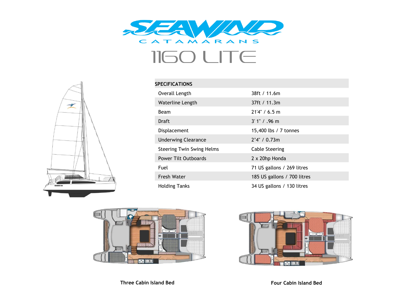

# 1160 LITE



| <b>SPECIFICATIONS</b>            |                             |
|----------------------------------|-----------------------------|
| Overall Length                   | 38ft / 11.6m                |
| Waterline Length                 | 37ft / 11.3m                |
| Beam                             | 21'4'' / 6.5 m              |
| Draft                            | $3'1'' / .96$ m             |
| Displacement                     | 15,400 lbs / 7 tonnes       |
| <b>Underwing Clearance</b>       | 2'4'' / 0.73m               |
| <b>Steering Twin Swing Helms</b> | <b>Cable Steering</b>       |
| <b>Power Tilt Outboards</b>      | 2 x 20hp Honda              |
| Fuel                             | 71 US gallons / 269 litres  |
| <b>Fresh Water</b>               | 185 US gallons / 700 litres |
| <b>Holding Tanks</b>             | 34 US gallons / 130 litres  |



**Three Cabin Island Bed Four Cabin Island Bed**

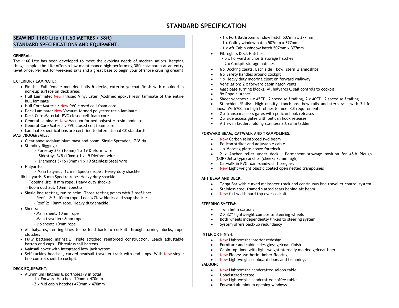## **STANDARD SPECIFICATION**

### **SEAWIND 1160 Lite (11.60 METRES / 38ft) STANDARD SPECIFICATIONS AND EQUIPMENT.**

#### **GENERAL:**

The 1160 Lite has been developed to meet the evolving needs of modern sailors. Keeping things simple, the Lite offers a low maintenance high performing 38ft catamaran at an entry level price. Perfect for weekend sails and a great base to begin your offshore cruising dream!

#### **EXTERIOR / LAMINATE:**

- Finish: Full female moulded hulls & decks, exterior gelcoat finish with moulded-in non-slip surface on deck areas
- Hull Laminate: New Infused Vinyl Ester (Modified epoxy) resin laminate of the entire hull laminate
- Hull Core Material: New PVC closed cell foam core
- Deck Laminate: New Vacuum formed polyester resin laminate
- Deck Core Material: PVC closed cell foam core
- General Laminate: New Vacuum formed polyester resin laminate
- General Core Material: PVC closed cell foam core
- Laminate specifications are certified to International CE standards

#### **MAST/BOOM/SAILS:**

- Clear anodisedaluminium mast and boom. Single Spreader, 7/8 rig
- Standing Rigging :
	- Forestay 3/8 (10mm) 1 x 19 Dieform wire.
	- Sidestays 3/8 (10mm) 1 x 19 Dieform wire
	- Diamonds 5/16 (8mm) 1 x 19 Stainless Steel wire
- Halvards:
- Main halyard: 12 mm Spectra rope : Heavy duty shackle
- Jib halyard: 8 mm Spectra rope. Heavy duty shackle
	- Topping lift: 8 mm rope, Heavy duty shackle
	- Boom outhaul: 10mm Spectra
- Single line reefing, run to helm. Three reefing points with 2 reef lines
	- Reef 1 & 3: 10mm rope. Leech/Clew blocks and snap shackle
		- Reef 2: 10mm rope. Heavy duty shackle
- Sheets:
	- Main sheet: 10mm rope
	- Main traveller: 8mm rope
	- Jib sheet: 10mm rope
- All halyards, reefing lines to be lead back to cockpit through turning blocks, rope clutches
- Fully battened mainsail. Triple stitched reinforced construction. Leach adjustable batten end caps. Fibreglass sail battens
- Mainsail cover with integrated lazy jack system.
- Self-tacking headsail, curved headsail traveller track with end stops. With New single line control sheet to cockpit.

#### **DECK EQUIPMENT:**

- Aluminium Hatches & portholes (9 in total)
	- 4 x Forward Hatches 470mm x 470mm
		- 2 x Mid cabin hatches 470mm x 470mm
- 1 x Port Bathroom window hatch 507mm x 377mm
- 1 x Galley window hatch 507mm x 377mm
- 1 x Aft Cabin window hatch 507mm x 377mm
- Fibreglass Deck Hatches:
	- 5 x Forward anchor & storage hatches
	- 2 x Cockpit storage hatches
- 6 x Docking cleats. Each side : bow, stern & amidships
- 6 x Safety handles around cockpit
- 1 x Heavy duty mooring cleat on forward walkway
- Ventilation: 2 x forward cabin hatch vents
- Mast base turning blocks. All halyards & sail controls to cockpit
- 9x Rope clutches
- Sheet winches : 1 x 45ST 2 speed self tailing, 2 x 40ST 2 speed self tailing
- Stanchions/Rails: High quality stanchions, bow rails and stern rails with 3 lifelines. With700mm high lifelines to meet CE requirements
- 2 x transom access gates with pelican hook releases
- 2 x side access gates with pelican hook releases
- Aft swim ladder: folding stainless aft swim ladder

#### **FORWARD BEAM, CATWALK AND TRAMPOLINES:**

- New Carbon reinforced fwd beam
- Pelican striker and adjustable cable
- 1 x Mooring plate above foredeck
- 2 x Anchor roller under deck. Permanent stowage position for 45lb Plough (CQR/Delta type) anchor (cheeks 75mm high)
- Catwalk in PVC foam-sandwich fibreglass
- New Light weight plastic coated open netted trampolines

#### **AFT BEAM AND DECK:**

- Targa Bar with curved mainsheet track and continuous line traveller control system
- Stainless steel framed slatted seats behind aft beam
- New full width hard top over cockpit

#### **STEERING SYSTEM:**

- Twin helm stations
- 2 X 32" lightweight composite steering wheels
- Both wheels independently linked to steering system
- System offers back-up redundancy

#### **INTERIOR FINISH:**

- New Lightweight interior redesign
- Furniture and cabin sides gloss gelcoat finish
- Cabin top lined with light weightinternally molded gelcoat liner
- New Floors: synthetic timber flooring
- New Lightweight cupboard doors and trimmings

#### **SALOON:**

- New Lightweight handcrafted saloon table
- Upholstered settee
- New Lightweight handcrafted coffee table
- Forward aluminium opening windows